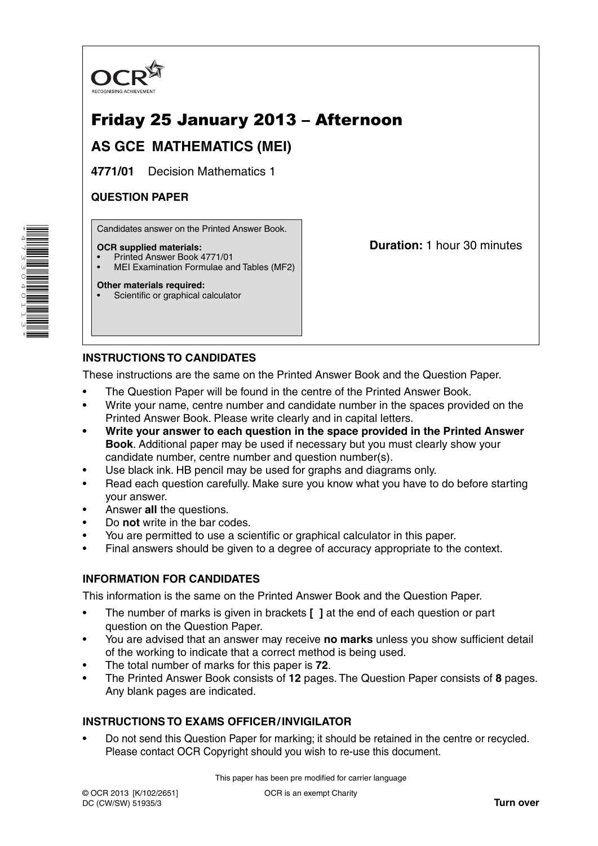

# Friday 25 January 2013 – Afternoon

## **AS GCE MATHEMATICS (MEI)**

**4771/01** Decision Mathematics 1

## **QUESTION PAPER**

Candidates answer on the Printed Answer Book.

#### **OCR supplied materials:**

- Printed Answer Book 4771/01
- MEI Examination Formulae and Tables (MF2)

#### **Other materials required:**

\*4733040113\*

Scientific or graphical calculator

**Duration:** 1 hour 30 minutes

## **INSTRUCTIONS TO CANDIDATES**

These instructions are the same on the Printed Answer Book and the Question Paper.

- The Question Paper will be found in the centre of the Printed Answer Book.
- Write your name, centre number and candidate number in the spaces provided on the Printed Answer Book. Please write clearly and in capital letters.
- **Write your answer to each question in the space provided in the Printed Answer Book**. Additional paper may be used if necessary but you must clearly show your candidate number, centre number and question number(s).
- Use black ink. HB pencil may be used for graphs and diagrams only.
- Read each question carefully. Make sure you know what you have to do before starting your answer.
- Answer **all** the questions.
- Do **not** write in the bar codes.
- You are permitted to use a scientific or graphical calculator in this paper.
- Final answers should be given to a degree of accuracy appropriate to the context.

## **INFORMATION FOR CANDIDATES**

This information is the same on the Printed Answer Book and the Question Paper.

- The number of marks is given in brackets **[ ]** at the end of each question or part question on the Question Paper.
- You are advised that an answer may receive **no marks** unless you show sufficient detail of the working to indicate that a correct method is being used.
- The total number of marks for this paper is **72**.
- The Printed Answer Book consists of **12** pages. The Question Paper consists of **8** pages. Any blank pages are indicated.

## **INSTRUCTIONS TO EXAMS OFFICER / INVIGILATOR**

• Do not send this Question Paper for marking; it should be retained in the centre or recycled. Please contact OCR Copyright should you wish to re-use this document.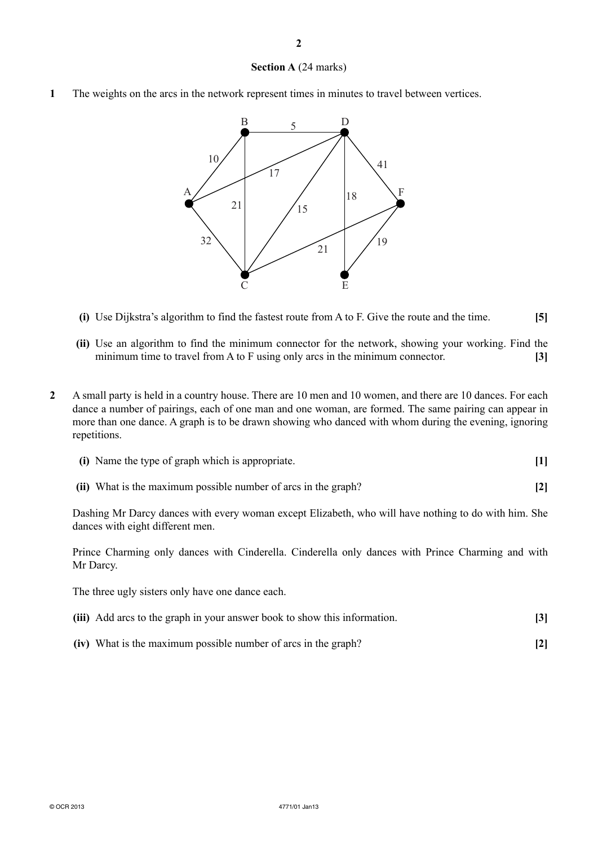#### **Section A** (24 marks)

**1** The weights on the arcs in the network represent times in minutes to travel between vertices.



- **(i)** Use Dijkstra's algorithm to find the fastest route from A to F. Give the route and the time. **[5]**
- **(ii)** Use an algorithm to find the minimum connector for the network, showing your working. Find the minimum time to travel from A to F using only arcs in the minimum connector. **[3]**
- **2** A small party is held in a country house. There are 10 men and 10 women, and there are 10 dances. For each dance a number of pairings, each of one man and one woman, are formed. The same pairing can appear in more than one dance. A graph is to be drawn showing who danced with whom during the evening, ignoring repetitions.

| (i) Name the type of graph which is appropriate. |  |
|--------------------------------------------------|--|
|--------------------------------------------------|--|

 **(ii)** What is the maximum possible number of arcs in the graph? **[2]**

Dashing Mr Darcy dances with every woman except Elizabeth, who will have nothing to do with him. She dances with eight different men.

Prince Charming only dances with Cinderella. Cinderella only dances with Prince Charming and with Mr Darcy.

The three ugly sisters only have one dance each.

| (iii) Add arcs to the graph in your answer book to show this information. | $[3]$ |
|---------------------------------------------------------------------------|-------|
|---------------------------------------------------------------------------|-------|

 **(iv)** What is the maximum possible number of arcs in the graph? **[2]**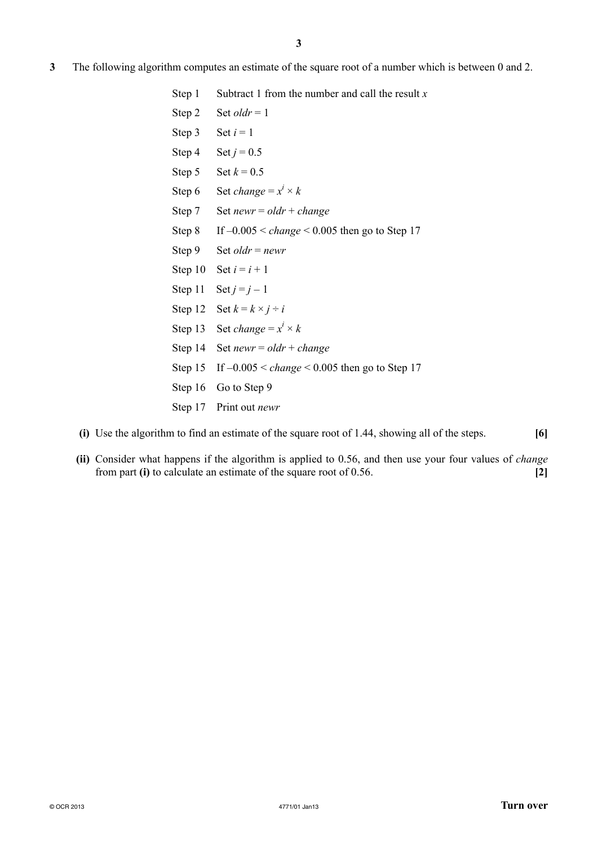**3** The following algorithm computes an estimate of the square root of a number which is between 0 and 2.

| Step 1    | Subtract 1 from the number and call the result $x$      |
|-----------|---------------------------------------------------------|
| Step 2    | Set <i>oldr</i> = 1                                     |
| Step 3    | Set $i = 1$                                             |
| Step 4    | Set $j = 0.5$                                           |
| Step 5    | Set $k = 0.5$                                           |
| Step 6    | Set change = $x^i \times k$                             |
| Step 7    | Set newr = $oldr + change$                              |
| Step 8    | If $-0.005 <$ change $\leq 0.005$ then go to Step 17    |
| Step 9    | Set oldr = $newr$                                       |
| Step $10$ | Set $i = i + 1$                                         |
| Step 11   | Set $j = j - 1$                                         |
|           | Step 12 Set $k = k \times j \div i$                     |
| Step 13   | Set change = $x^i \times k$                             |
| Step 14   | Set newr = $oldr + change$                              |
|           | Step 15 If $-0.005 < change < 0.005$ then go to Step 17 |
| Step 16   | Go to Step 9                                            |
| Step 17   | Print out <i>newr</i>                                   |
|           |                                                         |

- **(i)** Use the algorithm to find an estimate of the square root of 1.44, showing all of the steps. **[6]**
- **(ii)** Consider what happens if the algorithm is applied to 0.56, and then use your four values of *change* from part **(i)** to calculate an estimate of the square root of 0.56. **[2]**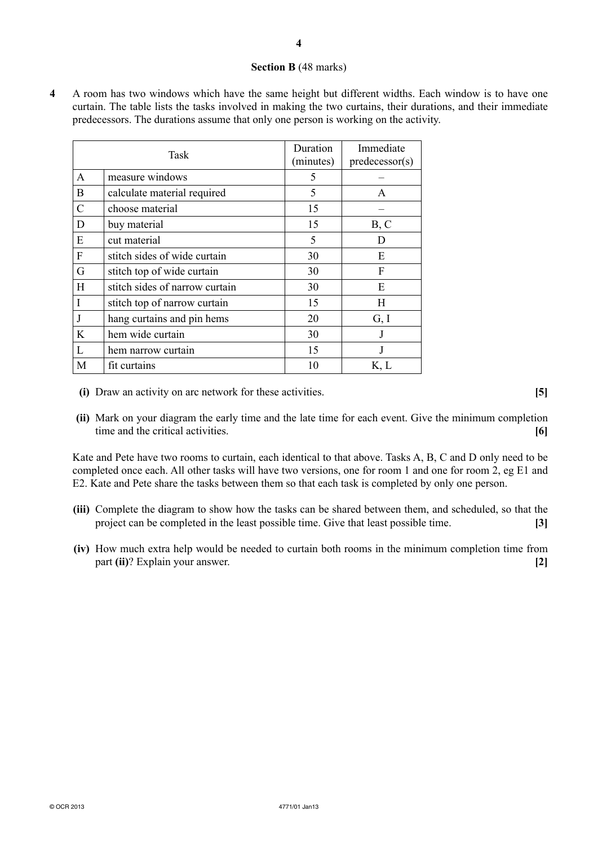#### **Section B** (48 marks)

**4** A room has two windows which have the same height but different widths. Each window is to have one curtain. The table lists the tasks involved in making the two curtains, their durations, and their immediate predecessors. The durations assume that only one person is working on the activity.

|               | Task                           | Duration<br>(minutes) | Immediate<br>predecessor(s) |
|---------------|--------------------------------|-----------------------|-----------------------------|
| A             | measure windows                | 5                     |                             |
| B             | calculate material required    | 5                     | A                           |
| $\mathcal{C}$ | choose material                | 15                    |                             |
| D             | buy material                   | 15                    | B, C                        |
| E             | cut material                   | 5                     | D                           |
| F             | stitch sides of wide curtain   | 30                    | E                           |
| G             | stitch top of wide curtain     | 30                    | F                           |
| Η             | stitch sides of narrow curtain | 30                    | Ε                           |
| T             | stitch top of narrow curtain   | 15                    | H                           |
| J             | hang curtains and pin hems     | 20                    | G, I                        |
| K             | hem wide curtain               | 30                    |                             |
| L             | hem narrow curtain             | 15                    | J                           |
| M             | fit curtains                   | 10                    | K, L                        |

- **(i)** Draw an activity on arc network for these activities. **[5]**
- **(ii)** Mark on your diagram the early time and the late time for each event. Give the minimum completion time and the critical activities. **[6]**

Kate and Pete have two rooms to curtain, each identical to that above. Tasks A, B, C and D only need to be completed once each. All other tasks will have two versions, one for room 1 and one for room 2, eg E1 and E2. Kate and Pete share the tasks between them so that each task is completed by only one person.

- **(iii)** Complete the diagram to show how the tasks can be shared between them, and scheduled, so that the project can be completed in the least possible time. Give that least possible time. **[3]**
- **(iv)** How much extra help would be needed to curtain both rooms in the minimum completion time from part **(ii)**? Explain your answer. **[2]**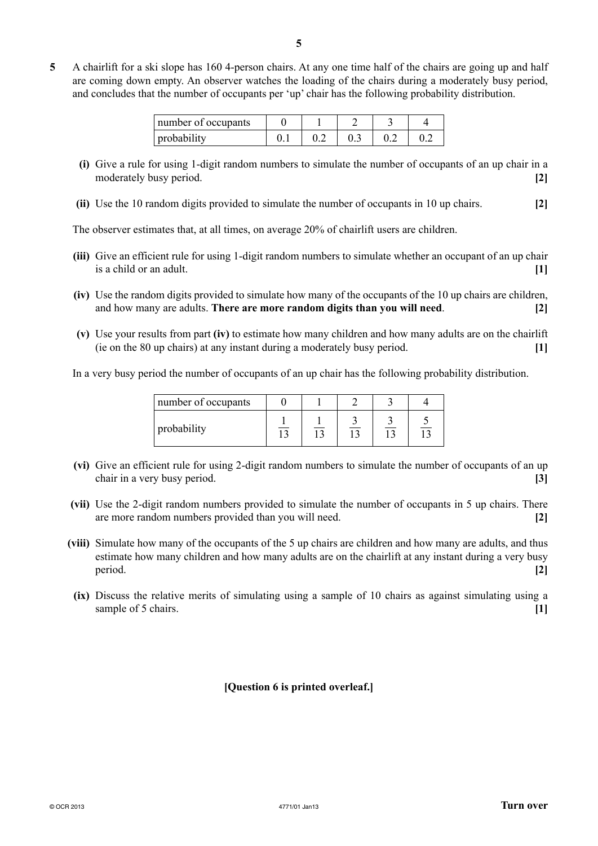**5** A chairlift for a ski slope has 160 4-person chairs. At any one time half of the chairs are going up and half are coming down empty. An observer watches the loading of the chairs during a moderately busy period, and concludes that the number of occupants per 'up' chair has the following probability distribution.

| number of occupants |  |  |  |
|---------------------|--|--|--|
| probability         |  |  |  |

- **(i)** Give a rule for using 1-digit random numbers to simulate the number of occupants of an up chair in a moderately busy period. **[2]**
- **(ii)** Use the 10 random digits provided to simulate the number of occupants in 10 up chairs. **[2]**

The observer estimates that, at all times, on average 20% of chairlift users are children.

- **(iii)** Give an efficient rule for using 1-digit random numbers to simulate whether an occupant of an up chair is a child or an adult. **[1]**
- **(iv)** Use the random digits provided to simulate how many of the occupants of the 10 up chairs are children, and how many are adults. **There are more random digits than you will need**. **[2]**
- **(v)** Use your results from part **(iv)** to estimate how many children and how many adults are on the chairlift (ie on the 80 up chairs) at any instant during a moderately busy period. **[1]**

In a very busy period the number of occupants of an up chair has the following probability distribution.

| number of occupants |  |  |  |
|---------------------|--|--|--|
| probability         |  |  |  |

- **(vi)** Give an efficient rule for using 2-digit random numbers to simulate the number of occupants of an up chair in a very busy period. **[3]**
- **(vii)** Use the 2-digit random numbers provided to simulate the number of occupants in 5 up chairs. There are more random numbers provided than you will need. **[2]**
- **(viii)** Simulate how many of the occupants of the 5 up chairs are children and how many are adults, and thus estimate how many children and how many adults are on the chairlift at any instant during a very busy period. **[2]**
- **(ix)** Discuss the relative merits of simulating using a sample of 10 chairs as against simulating using a sample of 5 chairs. **[1] [1]**

#### **[Question 6 is printed overleaf.]**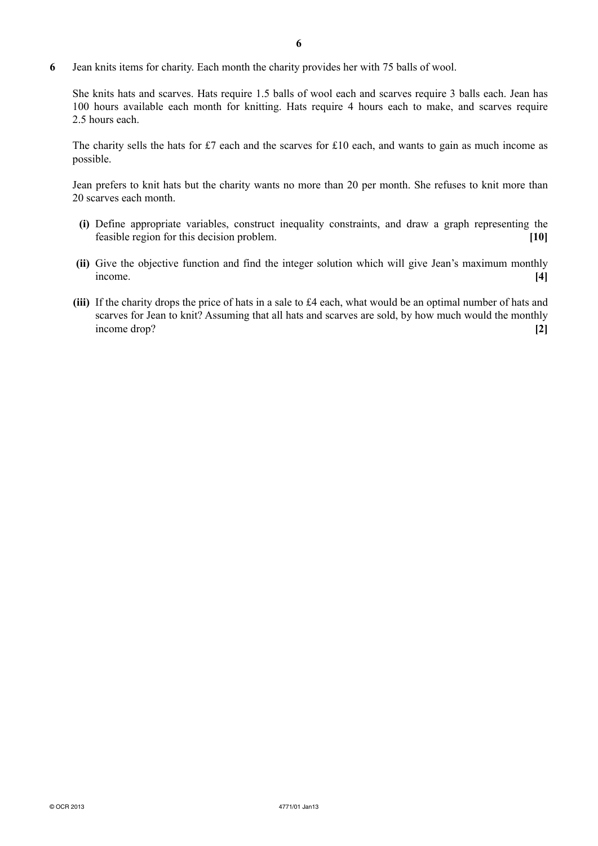**6** Jean knits items for charity. Each month the charity provides her with 75 balls of wool.

She knits hats and scarves. Hats require 1.5 balls of wool each and scarves require 3 balls each. Jean has 100 hours available each month for knitting. Hats require 4 hours each to make, and scarves require 2.5 hours each.

The charity sells the hats for £7 each and the scarves for £10 each, and wants to gain as much income as possible.

Jean prefers to knit hats but the charity wants no more than 20 per month. She refuses to knit more than 20 scarves each month.

- **(i)** Define appropriate variables, construct inequality constraints, and draw a graph representing the feasible region for this decision problem. **[10]**
- **(ii)** Give the objective function and find the integer solution which will give Jean's maximum monthly income. **[4]**
- **(iii)** If the charity drops the price of hats in a sale to £4 each, what would be an optimal number of hats and scarves for Jean to knit? Assuming that all hats and scarves are sold, by how much would the monthly income drop? **[2]**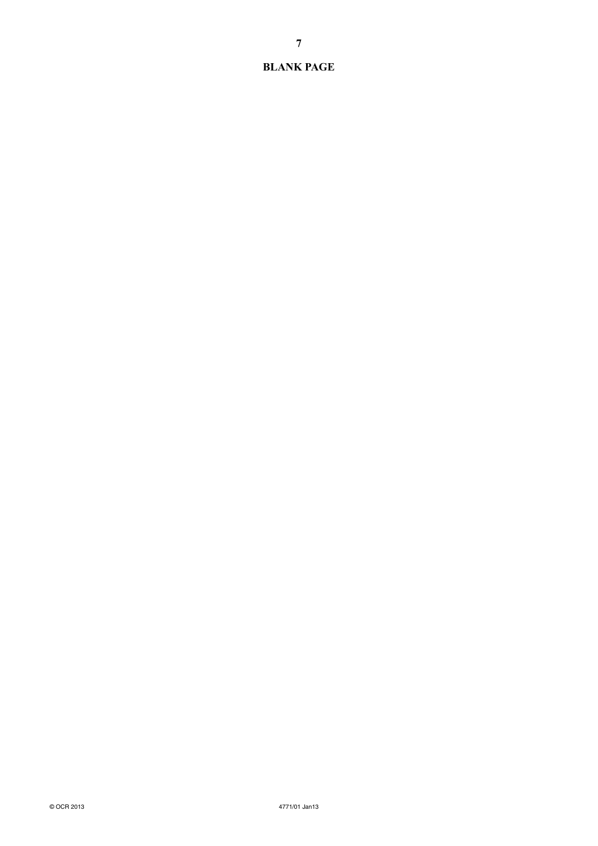### **BLANK PAGE**